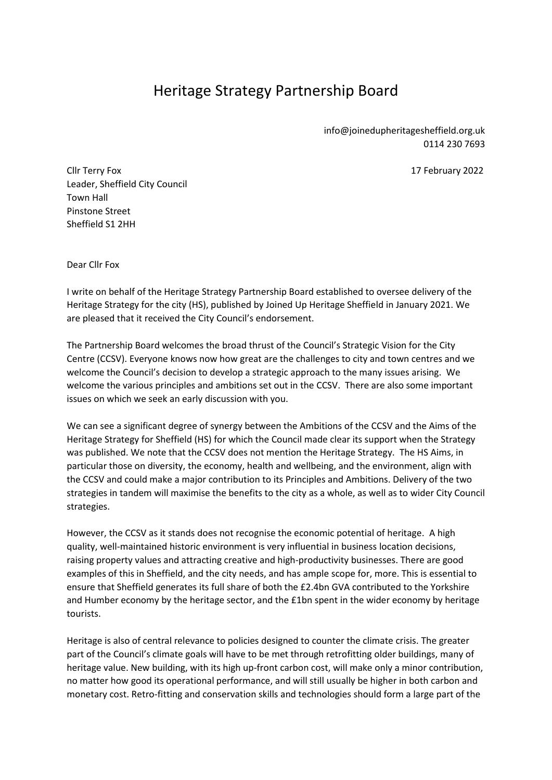## Heritage Strategy Partnership Board

info@joinedupheritagesheffield.org.uk 0114 230 7693

Cllr Terry Fox 17 February 2022 Leader, Sheffield City Council Town Hall Pinstone Street Sheffield S1 2HH

Dear Cllr Fox

I write on behalf of the Heritage Strategy Partnership Board established to oversee delivery of the Heritage Strategy for the city (HS), published by Joined Up Heritage Sheffield in January 2021. We are pleased that it received the City Council's endorsement.

The Partnership Board welcomes the broad thrust of the Council's Strategic Vision for the City Centre (CCSV). Everyone knows now how great are the challenges to city and town centres and we welcome the Council's decision to develop a strategic approach to the many issues arising. We welcome the various principles and ambitions set out in the CCSV. There are also some important issues on which we seek an early discussion with you.

We can see a significant degree of synergy between the Ambitions of the CCSV and the Aims of the Heritage Strategy for Sheffield (HS) for which the Council made clear its support when the Strategy was published. We note that the CCSV does not mention the Heritage Strategy. The HS Aims, in particular those on diversity, the economy, health and wellbeing, and the environment, align with the CCSV and could make a major contribution to its Principles and Ambitions. Delivery of the two strategies in tandem will maximise the benefits to the city as a whole, as well as to wider City Council strategies.

However, the CCSV as it stands does not recognise the economic potential of heritage. A high quality, well-maintained historic environment is very influential in business location decisions, raising property values and attracting creative and high-productivity businesses. There are good examples of this in Sheffield, and the city needs, and has ample scope for, more. This is essential to ensure that Sheffield generates its full share of both the £2.4bn GVA contributed to the Yorkshire and Humber economy by the heritage sector, and the £1bn spent in the wider economy by heritage tourists.

Heritage is also of central relevance to policies designed to counter the climate crisis. The greater part of the Council's climate goals will have to be met through retrofitting older buildings, many of heritage value. New building, with its high up-front carbon cost, will make only a minor contribution, no matter how good its operational performance, and will still usually be higher in both carbon and monetary cost. Retro-fitting and conservation skills and technologies should form a large part of the